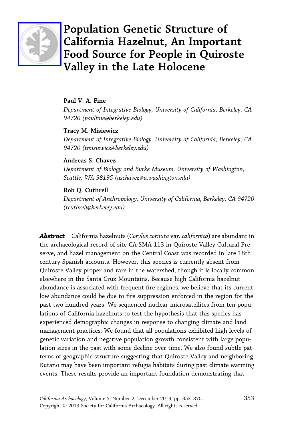

Population Genetic Structure of California Hazelnut, An Important Food Source for People in Quiroste Valley in the Late Holocene

Paul V. A. Fine

Department of Integrative Biology, University of California, Berkeley, CA 94720 (paulfi[ne@berkeley.edu\)](mailto:paulfine@berkeley.edu)

Tracy M. Misiewicz

Department of Integrative Biology, University of California, Berkeley, CA 94720 ([tmisiewicz@berkeley.edu](mailto:tmisiewicz@berkeley.edu))

# Andreas S. Chavez

Department of Biology and Burke Museum, University of Washington, Seattle, WA 98195 [\(aschavez@u.washington.edu](mailto:aschavez@u.washington.edu))

# Rob Q. Cuthrell

Department of Anthropology, University of California, Berkeley, CA 94720 [\(rcuthrell@berkeley.edu\)](mailto:rcuthrell@berkeley.edu)

Abstract California hazelnuts (Corylus cornuta var. californica) are abundant in the archaeological record of site CA-SMA-113 in Quiroste Valley Cultural Preserve, and hazel management on the Central Coast was recorded in late 18th century Spanish accounts. However, this species is currently absent from Quiroste Valley proper and rare in the watershed, though it is locally common elsewhere in the Santa Cruz Mountains. Because high California hazelnut abundance is associated with frequent fire regimes, we believe that its current low abundance could be due to fire suppression enforced in the region for the past two hundred years. We sequenced nuclear microsatellites from ten populations of California hazelnuts to test the hypothesis that this species has experienced demographic changes in response to changing climate and land management practices. We found that all populations exhibited high levels of genetic variation and negative population growth consistent with large population sizes in the past with some decline over time. We also found subtle patterns of geographic structure suggesting that Quiroste Valley and neighboring Butano may have been important refugia habitats during past climate warming events. These results provide an important foundation demonstrating that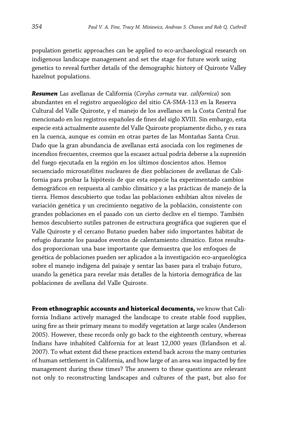population genetic approaches can be applied to eco-archaeological research on indigenous landscape management and set the stage for future work using genetics to reveal further details of the demographic history of Quiroste Valley hazelnut populations.

Resumen Las avellanas de California (Corylus cornuta var. californica) son abundantes en el registro arqueológico del sitio CA-SMA-113 en la Reserva Cultural del Valle Quiroste, y el manejo de los avellanos en la Costa Central fue mencionado en los registros españoles de fines del siglo XVIII. Sin embargo, esta especie está actualmente ausente del Valle Quiroste propiamente dicho, y es rara en la cuenca, aunque es común en otras partes de las Montañas Santa Cruz. Dado que la gran abundancia de avellanas está asociada con los regímenes de incendios frecuentes, creemos que la escasez actual podría deberse a la supresión del fuego ejecutada en la región en los últimos doscientos años. Hemos secuenciado microsatélites nucleares de diez poblaciones de avellanas de California para probar la hipótesis de que esta especie ha experimentado cambios demográficos en respuesta al cambio climático y a las prácticas de manejo de la tierra. Hemos descubierto que todas las poblaciones exhibían altos niveles de variación genética y un crecimiento negativo de la población, consistente con grandes poblaciones en el pasado con un cierto declive en el tiempo. También hemos descubierto sutiles patrones de estructura geográfica que sugieren que el Valle Quiroste y el cercano Butano pueden haber sido importantes hábitat de refugio durante los pasados eventos de calentamiento climático. Estos resultados proporcionan una base importante que demuestra que los enfoques de genética de poblaciones pueden ser aplicados a la investigación eco-arqueológica sobre el manejo indígena del paisaje y sentar las bases para el trabajo futuro, usando la genética para revelar más detalles de la historia demográfica de las poblaciones de avellana del Valle Quiroste.

From ethnographic accounts and historical documents, we know that California Indians actively managed the landscape to create stable food supplies, using fire as their primary means to modify vegetation at large scales ([Anderson](#page-15-0) [2005\)](#page-15-0). However, these records only go back to the eighteenth century, whereas Indians have inhabited California for at least 12,000 years [\(Erlandson et al.](#page-16-0) [2007\)](#page-16-0). To what extent did these practices extend back across the many centuries of human settlement in California, and how large of an area was impacted by fire management during these times? The answers to these questions are relevant not only to reconstructing landscapes and cultures of the past, but also for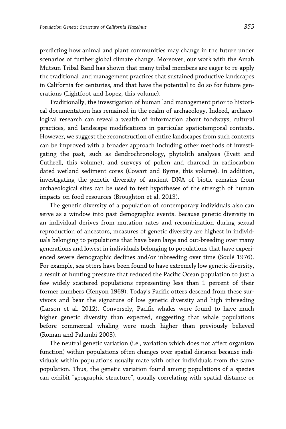predicting how animal and plant communities may change in the future under scenarios of further global climate change. Moreover, our work with the Amah Mutsun Tribal Band has shown that many tribal members are eager to re-apply the traditional land management practices that sustained productive landscapes in California for centuries, and that have the potential to do so for future generations (Lightfoot and Lopez, this volume).

Traditionally, the investigation of human land management prior to historical documentation has remained in the realm of archaeology. Indeed, archaeological research can reveal a wealth of information about foodways, cultural practices, and landscape modifications in particular spatiotemporal contexts. However, we suggest the reconstruction of entire landscapes from such contexts can be improved with a broader approach including other methods of investigating the past, such as dendrochronology, phytolith analyses (Evett and Cuthrell, this volume), and surveys of pollen and charcoal in radiocarbon dated wetland sediment cores (Cowart and Byrne, this volume). In addition, investigating the genetic diversity of ancient DNA of biotic remains from archaeological sites can be used to test hypotheses of the strength of human impacts on food resources ([Broughton et al. 2013](#page-16-0)).

The genetic diversity of a population of contemporary individuals also can serve as a window into past demographic events. Because genetic diversity in an individual derives from mutation rates and recombination during sexual reproduction of ancestors, measures of genetic diversity are highest in individuals belonging to populations that have been large and out-breeding over many generations and lowest in individuals belonging to populations that have experienced severe demographic declines and/or inbreeding over time [\(Soulé 1976](#page-17-0)). For example, sea otters have been found to have extremely low genetic diversity, a result of hunting pressure that reduced the Pacific Ocean population to just a few widely scattered populations representing less than 1 percent of their former numbers ([Kenyon 1969\)](#page-16-0). Today's Pacific otters descend from these survivors and bear the signature of low genetic diversity and high inbreeding [\(Larson et al. 2012](#page-16-0)). Conversely, Pacific whales were found to have much higher genetic diversity than expected, suggesting that whale populations before commercial whaling were much higher than previously believed [\(Roman and Palumbi 2003\)](#page-17-0).

The neutral genetic variation (i.e., variation which does not affect organism function) within populations often changes over spatial distance because individuals within populations usually mate with other individuals from the same population. Thus, the genetic variation found among populations of a species can exhibit "geographic structure", usually correlating with spatial distance or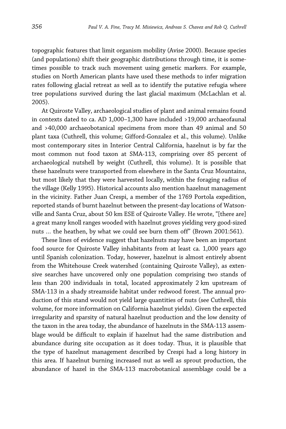topographic features that limit organism mobility ([Avise 2000\)](#page-15-0). Because species (and populations) shift their geographic distributions through time, it is sometimes possible to track such movement using genetic markers. For example, studies on North American plants have used these methods to infer migration rates following glacial retreat as well as to identify the putative refugia where tree populations survived during the last glacial maximum ([McLachlan et al.](#page-17-0) [2005\)](#page-17-0).

At Quiroste Valley, archaeological studies of plant and animal remains found in contexts dated to ca. AD 1,000–1,300 have included >19,000 archaeofaunal and >40,000 archaeobotanical specimens from more than 49 animal and 50 plant taxa (Cuthrell, this volume; Gifford-Gonzalez et al., this volume). Unlike most contemporary sites in Interior Central California, hazelnut is by far the most common nut food taxon at SMA-113, comprising over 85 percent of archaeological nutshell by weight (Cuthrell, this volume). It is possible that these hazelnuts were transported from elsewhere in the Santa Cruz Mountains, but most likely that they were harvested locally, within the foraging radius of the village ([Kelly 1995](#page-16-0)). Historical accounts also mention hazelnut management in the vicinity. Father Juan Crespi, a member of the 1769 Portola expedition, reported stands of burnt hazelnut between the present-day locations of Watsonville and Santa Cruz, about 50 km ESE of Quiroste Valley. He wrote, "[there are] a great many knoll ranges wooded with hazelnut groves yielding very good-sized nuts … the heathen, by what we could see burn them off" [\(Brown 2001:](#page-15-0)561).

These lines of evidence suggest that hazelnuts may have been an important food source for Quiroste Valley inhabitants from at least ca. 1,000 years ago until Spanish colonization. Today, however, hazelnut is almost entirely absent from the Whitehouse Creek watershed (containing Quiroste Valley), as extensive searches have uncovered only one population comprising two stands of less than 200 individuals in total, located approximately 2 km upstream of SMA-113 in a shady streamside habitat under redwood forest. The annual production of this stand would not yield large quantities of nuts (see Cuthrell, this volume, for more information on California hazelnut yields). Given the expected irregularity and sparsity of natural hazelnut production and the low density of the taxon in the area today, the abundance of hazelnuts in the SMA-113 assemblage would be difficult to explain if hazelnut had the same distribution and abundance during site occupation as it does today. Thus, it is plausible that the type of hazelnut management described by Crespi had a long history in this area. If hazelnut burning increased nut as well as sprout production, the abundance of hazel in the SMA-113 macrobotanical assemblage could be a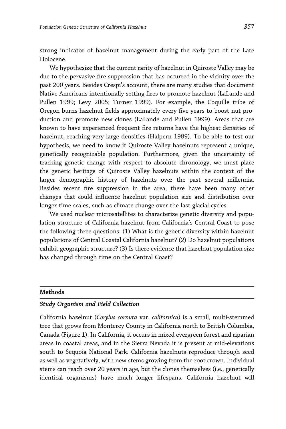strong indicator of hazelnut management during the early part of the Late Holocene.

We hypothesize that the current rarity of hazelnut in Quiroste Valley may be due to the pervasive fire suppression that has occurred in the vicinity over the past 200 years. Besides Crespi's account, there are many studies that document Native Americans intentionally setting fires to promote hazelnut ([LaLande and](#page-16-0) [Pullen 1999](#page-16-0); [Levy 2005](#page-16-0); [Turner 1999\)](#page-17-0). For example, the Coquille tribe of Oregon burns hazelnut fields approximately every five years to boost nut production and promote new clones [\(LaLande and Pullen 1999](#page-16-0)). Areas that are known to have experienced frequent fire returns have the highest densities of hazelnut, reaching very large densities [\(Halpern 1989\)](#page-16-0). To be able to test our hypothesis, we need to know if Quiroste Valley hazelnuts represent a unique, genetically recognizable population. Furthermore, given the uncertainty of tracking genetic change with respect to absolute chronology, we must place the genetic heritage of Quiroste Valley hazelnuts within the context of the larger demographic history of hazelnuts over the past several millennia. Besides recent fire suppression in the area, there have been many other changes that could influence hazelnut population size and distribution over longer time scales, such as climate change over the last glacial cycles.

We used nuclear microsatellites to characterize genetic diversity and population structure of California hazelnut from California's Central Coast to pose the following three questions: (1) What is the genetic diversity within hazelnut populations of Central Coastal California hazelnut? (2) Do hazelnut populations exhibit geographic structure? (3) Is there evidence that hazelnut population size has changed through time on the Central Coast?

# Methods

### Study Organism and Field Collection

California hazelnut (Corylus cornuta var. californica) is a small, multi-stemmed tree that grows from Monterey County in California north to British Columbia, Canada (Figure [1\)](#page-5-0). In California, it occurs in mixed evergreen forest and riparian areas in coastal areas, and in the Sierra Nevada it is present at mid-elevations south to Sequoia National Park. California hazelnuts reproduce through seed as well as vegetatively, with new stems growing from the root crown. Individual stems can reach over 20 years in age, but the clones themselves (i.e., genetically identical organisms) have much longer lifespans. California hazelnut will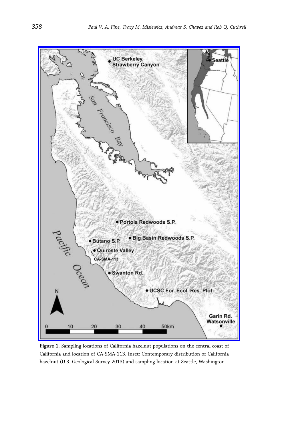<span id="page-5-0"></span>

Figure 1. Sampling locations of California hazelnut populations on the central coast of California and location of CA-SMA-113. Inset: Contemporary distribution of California hazelnut [\(U.S. Geological Survey 2013](#page-16-0)) and sampling location at Seattle, Washington.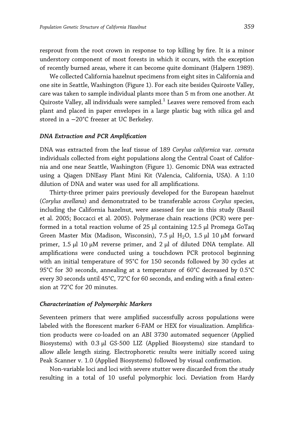resprout from the root crown in response to top killing by fire. It is a minor understory component of most forests in which it occurs, with the exception of recently burned areas, where it can become quite dominant ([Halpern 1989](#page-16-0)).

We collected California hazelnut specimens from eight sites in California and one site in Seattle, Washington (Figure [1](#page-5-0)). For each site besides Quiroste Valley, care was taken to sample individual plants more than 5 m from one another. At Quiroste Valley, all individuals were sampled. $<sup>1</sup>$  Leaves were removed from each</sup> plant and placed in paper envelopes in a large plastic bag with silica gel and stored in a −20°C freezer at UC Berkeley.

# DNA Extraction and PCR Amplification

DNA was extracted from the leaf tissue of 189 Corylus californica var. cornuta individuals collected from eight populations along the Central Coast of California and one near Seattle, Washington (Figure [1\)](#page-5-0). Genomic DNA was extracted using a Qiagen DNEasy Plant Mini Kit (Valencia, California, USA). A 1:10 dilution of DNA and water was used for all amplifications.

Thirty-three primer pairs previously developed for the European hazelnut (Corylus avellana) and demonstrated to be transferable across Corylus species, including the California hazelnut, were assessed for use in this study ([Bassil](#page-15-0) [et al. 2005; Boccacci et al. 2005\)](#page-15-0). Polymerase chain reactions (PCR) were performed in a total reaction volume of  $25 \mu l$  containing  $12.5 \mu l$  Promega GoTaq Green Master Mix (Madison, Wisconsin), 7.5  $\mu$ l H<sub>2</sub>O, 1.5  $\mu$ l 10  $\mu$ M forward primer, 1.5 µl 10 µM reverse primer, and 2 µl of diluted DNA template. All amplifications were conducted using a touchdown PCR protocol beginning with an initial temperature of 95°C for 150 seconds followed by 30 cycles at 95°C for 30 seconds, annealing at a temperature of 60°C decreased by 0.5°C every 30 seconds until 45°C, 72°C for 60 seconds, and ending with a final extension at 72°C for 20 minutes.

#### Characterization of Polymorphic Markers

Seventeen primers that were amplified successfully across populations were labeled with the florescent marker 6-FAM or HEX for visualization. Amplification products were co-loaded on an ABI 3730 automated sequencer (Applied Biosystems) with 0.3 µl GS-500 LIZ (Applied Biosystems) size standard to allow allele length sizing. Electrophoretic results were initially scored using Peak Scanner v. 1.0 (Applied Biosystems) followed by visual confirmation.

Non-variable loci and loci with severe stutter were discarded from the study resulting in a total of 10 useful polymorphic loci. Deviation from Hardy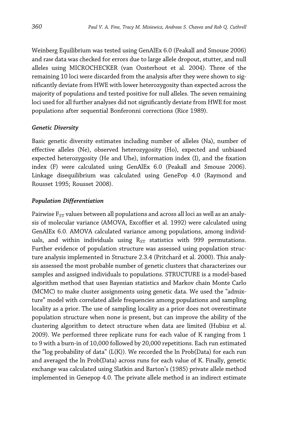Weinberg Equilibrium was tested using GenAlEx 6.0 [\(Peakall and Smouse 2006\)](#page-17-0) and raw data was checked for errors due to large allele dropout, stutter, and null alleles using MICROCHECKER ([van Oosterhout et al. 2004\)](#page-17-0). Three of the remaining 10 loci were discarded from the analysis after they were shown to significantly deviate from HWE with lower heterozygosity than expected across the majority of populations and tested positive for null alleles. The seven remaining loci used for all further analyses did not significantly deviate from HWE for most populations after sequential Bonferonni corrections [\(Rice 1989](#page-17-0)).

# Genetic Diversity

Basic genetic diversity estimates including number of alleles (Na), number of effective alleles (Ne), observed heterozygosity (Ho), expected and unbiased expected heterozygosity (He and Uhe), information index (I), and the fixation index (F) were calculated using GenAlEx 6.0 ([Peakall and Smouse 2006](#page-17-0)). Linkage disequilibrium was calculated using GenePop 4.0 ([Raymond and](#page-17-0) [Rousset 1995; Rousset 2008](#page-17-0)).

# Population Differentiation

Pairwise  $F_{ST}$  values between all populations and across all loci as well as an analysis of molecular variance (AMOVA, Excoffi[er et al. 1992](#page-16-0)) were calculated using GenAlEx 6.0. AMOVA calculated variance among populations, among individuals, and within individuals using  $R_{ST}$  statistics with 999 permutations. Further evidence of population structure was assessed using population structure analysis implemented in Structure 2.3.4 ([Pritchard et al. 2000](#page-17-0)). This analysis assessed the most probable number of genetic clusters that characterizes our samples and assigned individuals to populations. STRUCTURE is a model-based algorithm method that uses Bayesian statistics and Markov chain Monte Carlo (MCMC) to make cluster assignments using genetic data. We used the "admixture" model with correlated allele frequencies among populations and sampling locality as a prior. The use of sampling locality as a prior does not overestimate population structure when none is present, but can improve the ability of the clustering algorithm to detect structure when data are limited [\(Hubisz et al.](#page-16-0) [2009\)](#page-16-0). We performed three replicate runs for each value of K ranging from 1 to 9 with a burn-in of 10,000 followed by 20,000 repetitions. Each run estimated the "log probability of data"  $(L(K))$ . We recorded the ln Prob(Data) for each run and averaged the ln Prob(Data) across runs for each value of K. Finally, genetic exchange was calculated using Slatkin and Barton's (1985) private allele method implemented in Genepop 4.0. The private allele method is an indirect estimate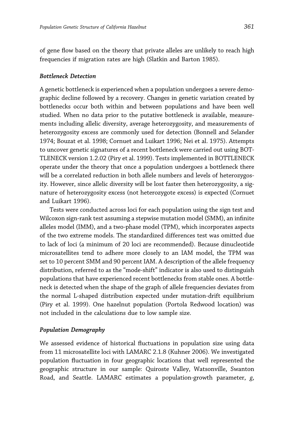of gene flow based on the theory that private alleles are unlikely to reach high frequencies if migration rates are high ([Slatkin and Barton 1985](#page-17-0)).

# Bottleneck Detection

A genetic bottleneck is experienced when a population undergoes a severe demographic decline followed by a recovery. Changes in genetic variation created by bottlenecks occur both within and between populations and have been well studied. When no data prior to the putative bottleneck is available, measurements including allelic diversity, average heterozygosity, and measurements of heterozygosity excess are commonly used for detection ([Bonnell and Selander](#page-15-0) [1974; Bouzat et al. 1998](#page-15-0); [Cornuet and Luikart 1996](#page-16-0); [Nei et al. 1975](#page-17-0)). Attempts to uncover genetic signatures of a recent bottleneck were carried out using BOT-TLENECK version 1.2.02 [\(Piry et al. 1999\)](#page-17-0). Tests implemented in BOTTLENECK operate under the theory that once a population undergoes a bottleneck there will be a correlated reduction in both allele numbers and levels of heterozygosity. However, since allelic diversity will be lost faster then heterozygosity, a signature of heterozygosity excess (not heterozygote excess) is expected ([Cornuet](#page-16-0) [and Luikart 1996\)](#page-16-0).

Tests were conducted across loci for each population using the sign test and Wilcoxon sign-rank test assuming a stepwise mutation model (SMM), an infinite alleles model (IMM), and a two-phase model (TPM), which incorporates aspects of the two extreme models. The standardized differences test was omitted due to lack of loci (a minimum of 20 loci are recommended). Because dinucleotide microsatellites tend to adhere more closely to an IAM model, the TPM was set to 10 percent SMM and 90 percent IAM. A description of the allele frequency distribution, referred to as the "mode-shift" indicator is also used to distinguish populations that have experienced recent bottlenecks from stable ones. A bottleneck is detected when the shape of the graph of allele frequencies deviates from the normal L-shaped distribution expected under mutation-drift equilibrium [\(Piry et al. 1999](#page-17-0)). One hazelnut population (Portola Redwood location) was not included in the calculations due to low sample size.

# Population Demography

We assessed evidence of historical fluctuations in population size using data from 11 microsatellite loci with LAMARC 2.1.8 ([Kuhner 2006\)](#page-16-0). We investigated population fluctuation in four geographic locations that well represented the geographic structure in our sample: Quiroste Valley, Watsonville, Swanton Road, and Seattle. LAMARC estimates a population-growth parameter, g,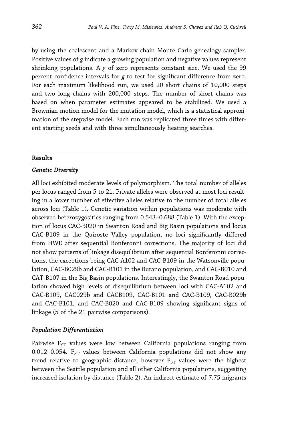by using the coalescent and a Markov chain Monte Carlo genealogy sampler. Positive values of g indicate a growing population and negative values represent shrinking populations. A g of zero represents constant size. We used the 99 percent confidence intervals for g to test for significant difference from zero. For each maximum likelihood run, we used 20 short chains of 10,000 steps and two long chains with 200,000 steps. The number of short chains was based on when parameter estimates appeared to be stabilized. We used a Brownian-motion model for the mutation model, which is a statistical approximation of the stepwise model. Each run was replicated three times with different starting seeds and with three simultaneously heating searches.

# Results

# Genetic Diversity

All loci exhibited moderate levels of polymorphism. The total number of alleles per locus ranged from 5 to 21. Private alleles were observed at most loci resulting in a lower number of effective alleles relative to the number of total alleles across loci (Table [1\)](#page-10-0). Genetic variation within populations was moderate with observed heterozygosities ranging from 0.543–0.688 (Table [1](#page-10-0)). With the exception of locus CAC-B020 in Swanton Road and Big Basin populations and locus CAC-B109 in the Quiroste Valley population, no loci significantly differed from HWE after sequential Bonferonni corrections. The majority of loci did not show patterns of linkage disequilibrium after sequential Bonferonni corrections, the exceptions being CAC-A102 and CAC-B109 in the Watsonville population, CAC-B029b and CAC-B101 in the Butano population, and CAC-B010 and CAT-B107 in the Big Basin populations. Interestingly, the Swanton Road population showed high levels of disequilibrium between loci with CAC-A102 and CAC-B109, CAC029b and CACB109, CAC-B101 and CAC-B109, CAC-B029b and CAC-B101, and CAC-B020 and CAC-B109 showing significant signs of linkage (5 of the 21 pairwise comparisons).

# Population Differentiation

Pairwise  $F_{ST}$  values were low between California populations ranging from 0.012–0.054.  $F_{ST}$  values between California populations did not show any trend relative to geographic distance, however  $F_{ST}$  values were the highest between the Seattle population and all other California populations, suggesting increased isolation by distance (Table [2\)](#page-10-0). An indirect estimate of 7.75 migrants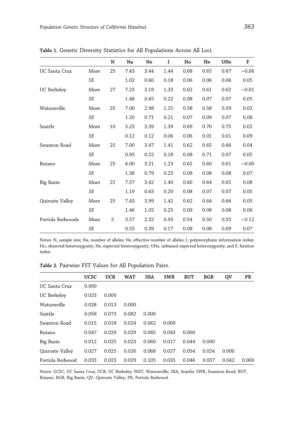|                  |           | N  | Na   | Ne   | I    | Ho   | He   | UHe  | F       |
|------------------|-----------|----|------|------|------|------|------|------|---------|
| UC Santa Cruz    | Mean      | 25 | 7.43 | 3.44 | 1.44 | 0.68 | 0.65 | 0.67 | $-0.06$ |
|                  | <b>SE</b> |    | 1.02 | 0.60 | 0.18 | 0.06 | 0.06 | 0.06 | 0.05    |
| UC Berkeley      | Mean      | 27 | 7.23 | 3.19 | 1.33 | 0.62 | 0.61 | 0.62 | $-0.01$ |
|                  | SE        |    | 1.48 | 0.65 | 0.22 | 0.08 | 0.07 | 0.07 | 0.05    |
| Watsonville      | Mean      | 25 | 7.00 | 2.98 | 1.25 | 0.58 | 0.58 | 0.59 | 0.02    |
|                  | <b>SE</b> |    | 1.20 | 0.71 | 0.21 | 0.07 | 0.09 | 0.07 | 0.08    |
| Seattle          | Mean      | 10 | 5.23 | 3.39 | 1.39 | 0.69 | 0.70 | 0.75 | 0.02    |
|                  | SE        |    | 0.12 | 0.12 | 0.06 | 0.06 | 0.01 | 0.01 | 0.09    |
| Swanton Road     | Mean      | 25 | 7.00 | 3.47 | 1.41 | 0.62 | 0.65 | 0.66 | 0.04    |
|                  | <b>SE</b> |    | 0.93 | 0.52 | 0.18 | 0.08 | 0.71 | 0.07 | 0.05    |
| Butano           | Mean      | 25 | 6.00 | 3.21 | 1.23 | 0.62 | 0.60 | 0.61 | $-0.00$ |
|                  | SE        |    | 1.38 | 0.79 | 0.23 | 0.08 | 0.08 | 0.08 | 0.07    |
| Big Basin        | Mean      | 22 | 7.57 | 3.42 | 1.40 | 0.60 | 0.64 | 0.65 | 0.08    |
|                  | SE        |    | 1.19 | 0.63 | 0.20 | 0.08 | 0.07 | 0.07 | 0.05    |
| Quiroste Valley  | Mean      | 25 | 7.43 | 3.99 | 1.42 | 0.62 | 0.64 | 0.66 | 0.05    |
|                  | SE        |    | 1.46 | 1.02 | 0.25 | 0.09 | 0.08 | 0.08 | 0.06    |
| Portola Redwoods | Mean      | 5  | 3.57 | 2.32 | 0.93 | 0.54 | 0.50 | 0.55 | $-0.12$ |
|                  | <b>SE</b> |    | 0.53 | 0.39 | 0.17 | 0.08 | 0.08 | 0.09 | 0.07    |

<span id="page-10-0"></span>Table 1. Genetic Diversity Statistics for All Populations Across All Loci.

Notes: N, sample size; Na, number of alleles; Ne, effective number of alleles; I, polymorphism information index; Ho, observed heterozygosity; He, expected heterozygosity; UHe, unbiased expected heterozygosity; and F, fixation index.

|                 | <b>UCSC</b> | <b>UCB</b> | <b>WAT</b> | <b>SEA</b> | <b>SWR</b> | BUT   | <b>BGB</b> | QV    | <b>PR</b> |
|-----------------|-------------|------------|------------|------------|------------|-------|------------|-------|-----------|
| UC Santa Cruz   | 0.000       |            |            |            |            |       |            |       |           |
| UC Berkeley     | 0.023       | 0.000      |            |            |            |       |            |       |           |
| Watsonville     | 0.028       | 0.013      | 0.000      |            |            |       |            |       |           |
| Seattle         | 0.058       | 0.073      | 0.082      | 0.000      |            |       |            |       |           |
| Swanton Road    | 0.015       | 0.018      | 0.024      | 0.062      | 0.000      |       |            |       |           |
| Butano          | 0.047       | 0.029      | 0.029      | 0.085      | 0.043      | 0.000 |            |       |           |
| Big Basin       | 0.012       | 0.025      | 0.023      | 0.060      | 0.017      | 0.044 | 0.000      |       |           |
| Quiroste Valley | 0.027       | 0.025      | 0.026      | 0.068      | 0.027      | 0.054 | 0.024      | 0.000 |           |
| Portola Redwood | 0.033       | 0.023      | 0.029      | 0.105      | 0.035      | 0.046 | 0.037      | 0.042 | 0.000     |

Table 2. Pairwise FST Values for All Population Pairs.

Notes: UCSC, UC Santa Cruz; UCB, UC Berkeley; WAT, Watsonville; SEA, Seattle; SWR, Swanton Road; BUT, Butano; BGB, Big Basin; QV, Quiroste Valley; PR, Portola Redwood.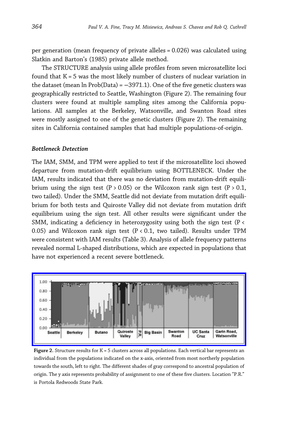<span id="page-11-0"></span>per generation (mean frequency of private alleles = 0.026) was calculated using Slatkin and Barton's (1985) private allele method.

The STRUCTURE analysis using allele profiles from seven microsatellite loci found that  $K = 5$  was the most likely number of clusters of nuclear variation in the dataset (mean  $ln Prob(Data) = -3971.1$ ). One of the five genetic clusters was geographically restricted to Seattle, Washington (Figure 2). The remaining four clusters were found at multiple sampling sites among the California populations. All samples at the Berkeley, Watsonville, and Swanton Road sites were mostly assigned to one of the genetic clusters (Figure 2). The remaining sites in California contained samples that had multiple populations-of-origin.

#### Bottleneck Detection

The IAM, SMM, and TPM were applied to test if the microsatellite loci showed departure from mutation-drift equilibrium using BOTTLENECK. Under the IAM, results indicated that there was no deviation from mutation-drift equilibrium using the sign test (P > 0.05) or the Wilcoxon rank sign test (P > 0.1, two tailed). Under the SMM, Seattle did not deviate from mutation drift equilibrium for both tests and Quiroste Valley did not deviate from mutation drift equilibrium using the sign test. All other results were significant under the SMM, indicating a deficiency in heterozygosity using both the sign test (P < 0.05) and Wilcoxon rank sign test  $(P < 0.1$ , two tailed). Results under TPM were consistent with IAM results (Table [3](#page-12-0)). Analysis of allele frequency patterns revealed normal L-shaped distributions, which are expected in populations that have not experienced a recent severe bottleneck.



Figure 2. Structure results for  $K = 5$  clusters across all populations. Each vertical bar represents an individual from the populations indicated on the x-axis, oriented from most northerly population towards the south, left to right. The different shades of gray correspond to ancestral population of origin. The y axis represents probability of assignment to one of these five clusters. Location "P.R." is Portola Redwoods State Park.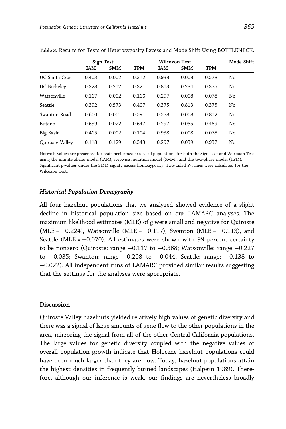|                 |       | Sign Test  |            | <b>Wilcoxon Test</b> |       |            |    |  |
|-----------------|-------|------------|------------|----------------------|-------|------------|----|--|
|                 | IAM   | <b>SMM</b> | <b>TPM</b> | IAM                  | SMM   | <b>TPM</b> |    |  |
| UC Santa Cruz   | 0.403 | 0.002      | 0.312      | 0.938                | 0.008 | 0.578      | No |  |
| UC Berkeley     | 0.328 | 0.217      | 0.321      | 0.813                | 0.234 | 0.375      | No |  |
| Watsonville     | 0.117 | 0.002      | 0.116      | 0.297                | 0.008 | 0.078      | No |  |
| Seattle         | 0.392 | 0.573      | 0.407      | 0.375                | 0.813 | 0.375      | No |  |
| Swanton Road    | 0.600 | 0.001      | 0.591      | 0.578                | 0.008 | 0.812      | No |  |
| Butano          | 0.639 | 0.022      | 0.647      | 0.297                | 0.055 | 0.469      | No |  |
| Big Basin       | 0.415 | 0.002      | 0.104      | 0.938                | 0.008 | 0.078      | No |  |
| Quiroste Valley | 0.118 | 0.129      | 0.343      | 0.297                | 0.039 | 0.937      | No |  |

<span id="page-12-0"></span>Table 3. Results for Tests of Heterozygosity Excess and Mode Shift Using BOTTLENECK.

Notes: P-values are presented for tests performed across all populations for both the Sign Test and Wilcoxon Test using the infinite alleles model (IAM), stepwise mutation model (SMM), and the two-phase model (TPM). Significant p-values under the SMM signify excess homozygosity. Two-tailed P-values were calculated for the Wilcoxon Test.

### Historical Population Demography

All four hazelnut populations that we analyzed showed evidence of a slight decline in historical population size based on our LAMARC analyses. The maximum likelihood estimates (MLE) of  $g$  were small and negative for Quiroste (MLE =  $-0.224$ ), Watsonville (MLE =  $-0.117$ ), Swanton (MLE =  $-0.113$ ), and Seattle (MLE =  $-0.070$ ). All estimates were shown with 99 percent certainty to be nonzero (Quiroste: range −0.117 to −0.368; Watsonville: range −0.227 to −0.035; Swanton: range −0.208 to −0.044; Seattle: range: −0.138 to −0.022). All independent runs of LAMARC provided similar results suggesting that the settings for the analyses were appropriate.

### Discussion

Quiroste Valley hazelnuts yielded relatively high values of genetic diversity and there was a signal of large amounts of gene flow to the other populations in the area, mirroring the signal from all of the other Central California populations. The large values for genetic diversity coupled with the negative values of overall population growth indicate that Holocene hazelnut populations could have been much larger than they are now. Today, hazelnut populations attain the highest densities in frequently burned landscapes ([Halpern 1989](#page-16-0)). Therefore, although our inference is weak, our findings are nevertheless broadly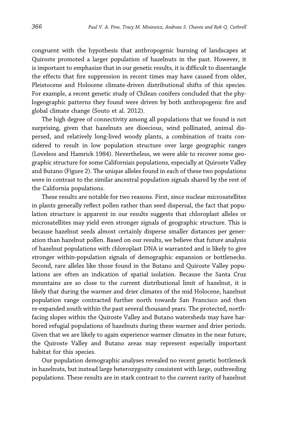congruent with the hypothesis that anthropogenic burning of landscapes at Quiroste promoted a larger population of hazelnuts in the past. However, it is important to emphasize that in our genetic results, it is difficult to disentangle the effects that fire suppression in recent times may have caused from older, Pleistocene and Holocene climate-driven distributional shifts of this species. For example, a recent genetic study of Chilean conifers concluded that the phylogeographic patterns they found were driven by both anthropogenic fire and global climate change [\(Souto et al. 2012\)](#page-17-0).

The high degree of connectivity among all populations that we found is not surprising, given that hazelnuts are dioecious, wind pollinated, animal dispersed, and relatively long-lived woody plants, a combination of traits considered to result in low population structure over large geographic ranges [\(Loveless and Hamrick 1984\)](#page-16-0). Nevertheless, we were able to recover some geographic structure for some Californian populations, especially at Quiroste Valley and Butano (Figure [2](#page-11-0)). The unique alleles found in each of these two populations were in contrast to the similar ancestral population signals shared by the rest of the California populations.

These results are notable for two reasons. First, since nuclear microsatellites in plants generally reflect pollen rather than seed dispersal, the fact that population structure is apparent in our results suggests that chloroplast alleles or microsatellites may yield even stronger signals of geographic structure. This is because hazelnut seeds almost certainly disperse smaller distances per generation than hazelnut pollen. Based on our results, we believe that future analysis of hazelnut populations with chloroplast DNA is warranted and is likely to give stronger within-population signals of demographic expansion or bottlenecks. Second, rare alleles like those found in the Butano and Quiroste Valley populations are often an indication of spatial isolation. Because the Santa Cruz mountains are so close to the current distributional limit of hazelnut, it is likely that during the warmer and drier climates of the mid Holocene, hazelnut population range contracted further north towards San Francisco and then re-expanded south within the past several thousand years. The protected, northfacing slopes within the Quiroste Valley and Butano watersheds may have harbored refugial populations of hazelnuts during these warmer and drier periods. Given that we are likely to again experience warmer climates in the near future, the Quiroste Valley and Butano areas may represent especially important habitat for this species.

Our population demographic analyses revealed no recent genetic bottleneck in hazelnuts, but instead large heterozygosity consistent with large, outbreeding populations. These results are in stark contrast to the current rarity of hazelnut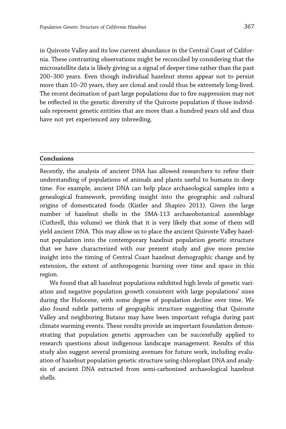in Quiroste Valley and its low current abundance in the Central Coast of California. These contrasting observations might be reconciled by considering that the microsatellite data is likely giving us a signal of deeper time rather than the past 200–300 years. Even though individual hazelnut stems appear not to persist more than 10–20 years, they are clonal and could thus be extremely long-lived. The recent decimation of past large populations due to fire suppression may not be reflected in the genetic diversity of the Quiroste population if those individuals represent genetic entities that are more than a hundred years old and thus have not yet experienced any inbreeding.

# Conclusions

Recently, the analysis of ancient DNA has allowed researchers to refine their understanding of populations of animals and plants useful to humans in deep time. For example, ancient DNA can help place archaeological samples into a genealogical framework, providing insight into the geographic and cultural origins of domesticated foods ([Kistler and Shapiro 2011](#page-16-0)). Given the large number of hazelnut shells in the SMA-113 archaeobotanical assemblage (Cuthrell, this volume) we think that it is very likely that some of them will yield ancient DNA. This may allow us to place the ancient Quiroste Valley hazelnut population into the contemporary hazelnut population genetic structure that we have characterized with our present study and give more precise insight into the timing of Central Coast hazelnut demographic change and by extension, the extent of anthropogenic burning over time and space in this region.

We found that all hazelnut populations exhibited high levels of genetic variation and negative population growth consistent with large populations' sizes during the Holocene, with some degree of population decline over time. We also found subtle patterns of geographic structure suggesting that Quiroste Valley and neighboring Butano may have been important refugia during past climate warming events. These results provide an important foundation demonstrating that population genetic approaches can be successfully applied to research questions about indigenous landscape management. Results of this study also suggest several promising avenues for future work, including evaluation of hazelnut population genetic structure using chloroplast DNA and analysis of ancient DNA extracted from semi-carbonized archaeological hazelnut shells.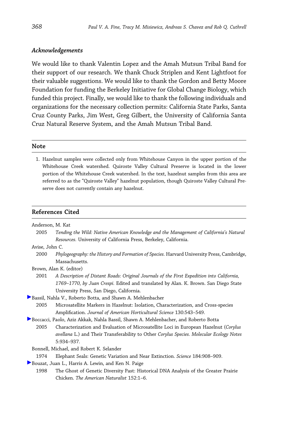# <span id="page-15-0"></span>Acknowledgements

We would like to thank Valentin Lopez and the Amah Mutsun Tribal Band for their support of our research. We thank Chuck Striplen and Kent Lightfoot for their valuable suggestions. We would like to thank the Gordon and Betty Moore Foundation for funding the Berkeley Initiative for Global Change Biology, which funded this project. Finally, we would like to thank the following individuals and organizations for the necessary collection permits: California State Parks, Santa Cruz County Parks, Jim West, Greg Gilbert, the University of California Santa Cruz Natural Reserve System, and the Amah Mutsun Tribal Band.

### Note

1. Hazelnut samples were collected only from Whitehouse Canyon in the upper portion of the Whitehouse Creek watershed. Quiroste Valley Cultural Preserve is located in the lower portion of the Whitehouse Creek watershed. In the text, hazelnut samples from this area are referred to as the "Quiroste Valley" hazelnut population, though Quiroste Valley Cultural Preserve does not currently contain any hazelnut.

### References Cited

Anderson, M. Kat

2005 Tending the Wild: Native American Knowledge and the Management of California's Natural Resources. University of California Press, Berkeley, California.

#### Avise, John C.

- 2000 Phylogeography: the History and Formation of Species. Harvard University Press, Cambridge, Massachusetts.
- Brown, Alan K. (editor)
	- 2001 A Description of Distant Roads: Original Journals of the First Expedition into California, 1769–1770, by Juan Crespi. Edited and translated by Alan. K. Brown. San Diego State University Press, San Diego, California.
- Bassil, Nahla V., Roberto Botta, and Shawn A. Mehlenbacher
	- 2005 Microsatellite Markers in Hazelnut: Isolation, Characterization, and Cross-species Amplification. Journal of American Horticultural Science 130:543–549.
- Boccacci, Paolo, Aziz Akkak, Nahla Bassil, Shawn A. Mehlenbacher, and Roberto Botta
	- 2005 Characterization and Evaluation of Microsatellite Loci in European Hazelnut (Corylus avellana L.) and Their Transferability to Other Corylus Species. Molecular Ecology Notes 5:934–937.
	- Bonnell, Michael, and Robert K. Selander

```
1974 Elephant Seals: Genetic Variation and Near Extinction. Science 184:908-909.
```
- Bouzat, Juan L., Harris A. Lewin, and Ken N. Paige
	- 1998 The Ghost of Genetic Diversity Past: Historical DNA Analysis of the Greater Prairie Chicken. The American Naturalist 152:1–6.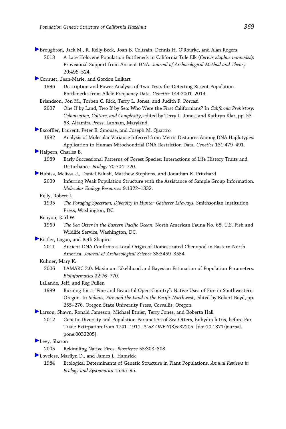<span id="page-16-0"></span>Broughton, Jack M., R. Kelly Beck, Joan B. Coltrain, Dennis H. O'Rourke, and Alan Rogers

- 2013 A Late Holocene Population Bottleneck in California Tule Elk (Cervus elaphus nannodes): Provisional Support from Ancient DNA. Journal of Archaeological Method and Theory 20:495–524.
- Cornuet, Jean-Marie, and Gordon Luikart
	- 1996 Description and Power Analysis of Two Tests for Detecting Recent Population Bottlenecks from Allele Frequency Data. Genetics 144:2001–2014.
	- Erlandson, Jon M., Torben C. Rick, Terry L. Jones, and Judith F. Porcasi
		- 2007 One If by Land, Two If by Sea: Who Were the First Californians? In California Prehistory: Colonization, Culture, and Complexity, edited by Terry L. Jones, and Kathryn Klar, pp. 53– 63. Altamira Press, Lanham, Maryland.
- Excoffier, Laurent, Peter E. Smouse, and Joseph M. Quattro
	- 1992 Analysis of Molecular Variance Inferred from Metric Distances Among DNA Haplotypes: Application to Human Mitochondrial DNA Restriction Data. Genetics 131:479–491.
- Halpern, Charles B.
	- 1989 Early Successional Patterns of Forest Species: Interactions of Life History Traits and Disturbance. Ecology 70:704–720.
- Hubisz, Melissa J., Daniel Falush, Matthew Stephens, and Jonathan K. Pritchard
	- 2009 Inferring Weak Population Structure with the Assistance of Sample Group Information. Molecular Ecology Resources 9:1322–1332.
	- Kelly, Robert L.
		- 1995 The Foraging Spectrum, Diversity in Hunter-Gatherer Lifeways. Smithsonian Institution Press, Washington, DC.
	- Kenyon, Karl W.
		- 1969 The Sea Otter in the Eastern Pacific Ocean. North American Fauna No. 68, U.S. Fish and Wildlife Service, Washington, DC.

#### Kistler, Logan, and Beth Shapiro

2011 Ancient DNA Confirms a Local Origin of Domesticated Chenopod in Eastern North America. Journal of Archaeological Science 38:3459–3554.

#### Kuhner, Mary K.

2006 LAMARC 2.0: Maximum Likelihood and Bayesian Estimation of Population Parameters. Bioinformatics 22:76–770.

#### LaLande, Jeff, and Reg Pullen

- 1999 Burning for a "Fine and Beautiful Open Country": Native Uses of Fire in Southwestern Oregon. In Indians, Fire and the Land in the Pacific Northwest, edited by Robert Boyd, pp. 255–276. Oregon State University Press, Corvallis, Oregon.
- Larson, Shawn, Ronald Jameson, Michael Etnier, Terry Jones, and Roberta Hall
	- 2012 Genetic Diversity and Population Parameters of Sea Otters, Enhydra lutris, before Fur Trade Extirpation from 1741–1911. PLoS ONE 7(3):e32205. [doi:10.1371/journal. pone.0032205].

#### Levy, Sharon

- 2005 Rekindling Native Fires. Bioscience 55:303–308.
- Loveless, Marilyn D., and James L. Hamrick
	- 1984 Ecological Determinants of Genetic Structure in Plant Populations. Annual Reviews in Ecology and Systematics 15:65–95.